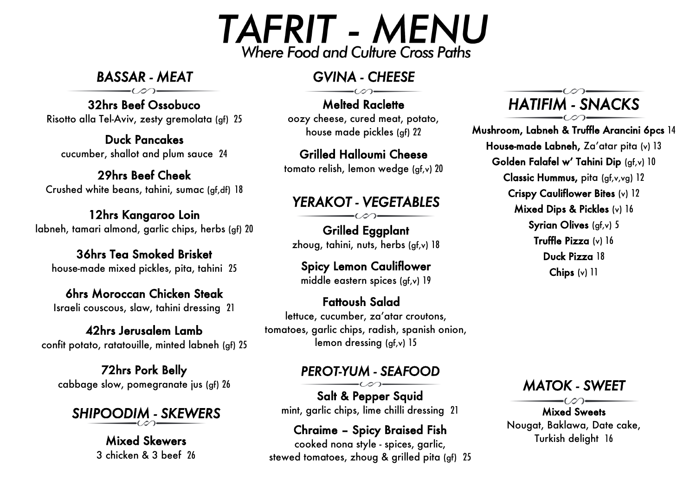# **TAFRIT - MENU Where Food and Culture Cross Paths**

*BASSAR - MEAT* 

32hrs Beef Ossobuco Risotto alla Tel-Aviv, zesty gremolata (gf) 25

Duck Pancakes cucumber, shallot and plum sauce 24

29hrs Beef Cheek Crushed white beans, tahini, sumac (gf,df) 18

12hrs Kangaroo Loin labneh, tamari almond, garlic chips, herbs (gf) 20

36hrs Tea Smoked Brisket house-made mixed pickles, pita, tahini 25

6hrs Moroccan Chicken Steak Israeli couscous, slaw, tahini dressing 21

42hrs Jerusalem Lamb confit potato, ratatouille, minted labneh (gf) 25

72hrs Pork Belly cabbage slow, pomegranate jus (gf) 26

*SHIPOODIM - SKEWERS* 

Mixed Skewers 3 chicken & 3 beef 26

## *GVINA - CHEESE*

Melted Raclette oozy cheese, cured meat, potato, house made pickles (gf) 22

Grilled Halloumi Cheese tomato relish, lemon wedge (gf,v) 20

## *YERAKOT - VEGETABLES*

 $\overline{a}$ Grilled Eggplant zhoug, tahini, nuts, herbs (gf,v) 18

Spicy Lemon Cauliflower middle eastern spices (gf,v) 19

Fattoush Salad lettuce, cucumber, za'atar croutons, tomatoes, garlic chips, radish, spanish onion, lemon dressing (gf,v) 15

#### *PEROT-YUM - SEAFOOD*

Salt & Pepper Squid mint, garlic chips, lime chilli dressing 21

Chraime – Spicy Braised Fish cooked nona style - spices, garlic, stewed tomatoes, zhoug & grilled pita (gf) 25 *HATIFIM - SNACKS*

Mushroom, Labneh & Truffle Arancini 6pcs 14 House-made Labneh, Za'atar pita (v) 13 Golden Falafel w' Tahini Dip (gf,v) 10 Classic Hummus, pita (gf,v,vg) 12 Crispy Cauliflower Bites (v) 12 Mixed Dips & Pickles (v) <sup>16</sup> Syrian Olives (gf, v) 5 Truffle Pizza (v) 16 Duck Pizza 18 Chips (v) 11



Mixed Sweets Nougat, Baklawa, Date cake, Turkish delight 16